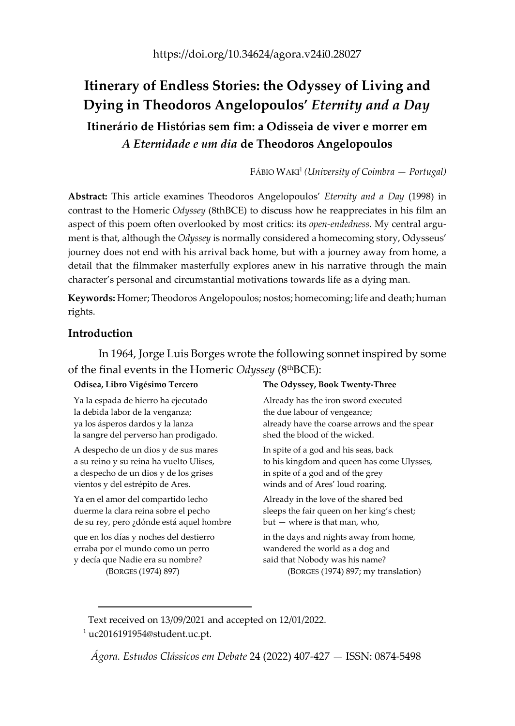# **Itinerary of Endless Stories: the Odyssey of Living and Dying in Theodoros Angelopoulos'** *Eternity and a Day* **Itinerário de Histórias sem fim: a Odisseia de viver e morrer em** *A Eternidade e um dia* **de Theodoros Angelopoulos**

FÁBIO WAKI1 *(University of Coimbra — Portugal)*

**Abstract:** This article examines Theodoros Angelopoulos' *Eternity and a Day* (1998) in contrast to the Homeric *Odyssey* (8thBCE) to discuss how he reappreciates in his film an aspect of this poem often overlooked by most critics: its *open-endedness*. My central argument is that, although the *Odyssey* is normally considered a homecoming story, Odysseus' journey does not end with his arrival back home, but with a journey away from home, a detail that the filmmaker masterfully explores anew in his narrative through the main character's personal and circumstantial motivations towards life as a dying man.

**Keywords:** Homer; Theodoros Angelopoulos; nostos; homecoming; life and death; human rights.

# **Introduction**

In 1964, Jorge Luis Borges wrote the following sonnet inspired by some of the final events in the Homeric *Odyssey* (8thBCE):

### **Odisea, Libro Vigésimo Tercero**

Ya la espada de hierro ha ejecutado la debida labor de la venganza; ya los ásperos dardos y la lanza la sangre del perverso han prodigado.

A despecho de un dios y de sus mares a su reino y su reina ha vuelto Ulises, a despecho de un dios y de los grises vientos y del estrépito de Ares.

Ya en el amor del compartido lecho duerme la clara reina sobre el pecho de su rey, pero ¿dónde está aquel hombre

que en los días y noches del destierro erraba por el mundo como un perro y decía que Nadie era su nombre? (BORGES (1974) 897)

### **The Odyssey, Book Twenty‐Three**

Already has the iron sword executed the due labour of vengeance; already have the coarse arrows and the spear shed the blood of the wicked.

In spite of a god and his seas, back to his kingdom and queen has come Ulysses, in spite of a god and of the grey winds and of Ares' loud roaring.

Already in the love of the shared bed sleeps the fair queen on her king's chest; but — where is that man, who,

in the days and nights away from home, wandered the world as a dog and said that Nobody was his name?

(BORGES (1974) 897; my translation)

Text received on 13/09/2021 and accepted on 12/01/2022.  $1$  uc2016191954@student.uc.pt.

*Ágora. Estudos Clássicos em Debate* 24 (2022) 407‐427 — ISSN: 0874‐5498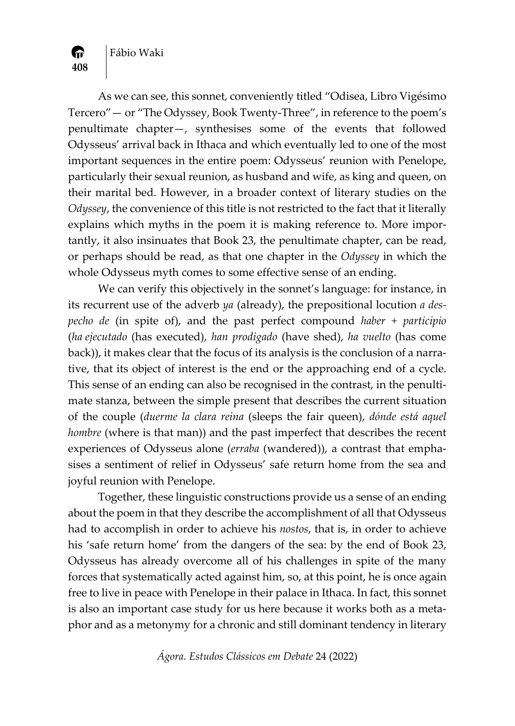Fábio Waki

**408**

A

As we can see, this sonnet, conveniently titled "Odisea, Libro Vigésimo Tercero"— or "The Odyssey, Book Twenty‐Three", in reference to the poem's penultimate chapter—, synthesises some of the events that followed Odysseus' arrival back in Ithaca and which eventually led to one of the most important sequences in the entire poem: Odysseus' reunion with Penelope, particularly their sexual reunion, as husband and wife, as king and queen, on their marital bed. However, in a broader context of literary studies on the *Odyssey*, the convenience of this title is not restricted to the fact that it literally explains which myths in the poem it is making reference to. More importantly, it also insinuates that Book 23, the penultimate chapter, can be read, or perhaps should be read, as that one chapter in the *Odyssey* in which the whole Odysseus myth comes to some effective sense of an ending.

We can verify this objectively in the sonnet's language: for instance, in its recurrent use of the adverb *ya* (already), the prepositional locution *a des‐ pecho de* (in spite of), and the past perfect compound *haber + participio* (*ha ejecutado* (has executed), *han prodigado* (have shed), *ha vuelto* (has come back)), it makes clear that the focus of its analysis is the conclusion of a narrative, that its object of interest is the end or the approaching end of a cycle. This sense of an ending can also be recognised in the contrast, in the penultimate stanza, between the simple present that describes the current situation of the couple (*duerme la clara reina* (sleeps the fair queen), *dónde está aquel hombre* (where is that man)) and the past imperfect that describes the recent experiences of Odysseus alone (*erraba* (wandered)), a contrast that emphasises a sentiment of relief in Odysseus' safe return home from the sea and joyful reunion with Penelope.

Together, these linguistic constructions provide us a sense of an ending about the poem in that they describe the accomplishment of all that Odysseus had to accomplish in order to achieve his *nostos*, that is, in order to achieve his 'safe return home' from the dangers of the sea: by the end of Book 23, Odysseus has already overcome all of his challenges in spite of the many forces that systematically acted against him, so, at this point, he is once again free to live in peace with Penelope in their palace in Ithaca. In fact, this sonnet is also an important case study for us here because it works both as a meta‐ phor and as a metonymy for a chronic and still dominant tendency in literary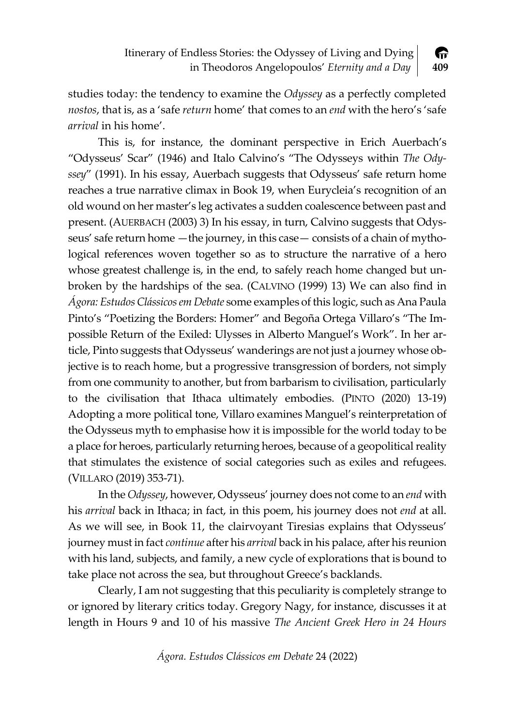

studies today: the tendency to examine the *Odyssey* as a perfectly completed *nostos*, that is, as a 'safe *return* home' that comes to an *end* with the hero's 'safe *arrival* in his home'.

This is, for instance, the dominant perspective in Erich Auerbach's "Odysseus' Scar" (1946) and Italo Calvino's "The Odysseys within *The Ody‐ ssey*" (1991). In his essay, Auerbach suggests that Odysseus' safe return home reaches a true narrative climax in Book 19, when Eurycleia's recognition of an old wound on her master's leg activates a sudden coalescence between past and present. (AUERBACH (2003) 3) In his essay, in turn, Calvino suggests that Odys‐ seus' safe return home —the journey, in this case— consists of a chain of mythological references woven together so as to structure the narrative of a hero whose greatest challenge is, in the end, to safely reach home changed but unbroken by the hardships of the sea. (CALVINO (1999) 13) We can also find in *Ágora: EstudosClássicosem Debate* some examples ofthis logic, such as Ana Paula Pinto's "Poetizing the Borders: Homer" and Begoña Ortega Villaro's "The Im‐ possible Return of the Exiled: Ulysses in Alberto Manguel's Work". In her ar‐ ticle, Pinto suggests that Odysseus' wanderings are not just a journey whose ob‐ jective is to reach home, but a progressive transgression of borders, not simply from one community to another, but from barbarism to civilisation, particularly to the civilisation that Ithaca ultimately embodies. (PINTO (2020) 13‐19) Adopting a more political tone, Villaro examines Manguel's reinterpretation of the Odysseus myth to emphasise how it is impossible for the world today to be a place for heroes, particularly returning heroes, because of a geopolitical reality that stimulates the existence of social categories such as exiles and refugees. (VILLARO (2019) 353‐71).

In the *Odyssey*, however, Odysseus' journey does not come to an *end* with his *arrival* back in Ithaca; in fact, in this poem, his journey does not *end* at all. As we will see, in Book 11, the clairvoyant Tiresias explains that Odysseus' journey must in fact *continue* after his *arrival* back in his palace, after his reunion with his land, subjects, and family, a new cycle of explorations that is bound to take place not across the sea, but throughout Greece's backlands.

Clearly, I am not suggesting that this peculiarity is completely strange to or ignored by literary critics today. Gregory Nagy, for instance, discusses it at length in Hours 9 and 10 of his massive *The Ancient Greek Hero in 24 Hours*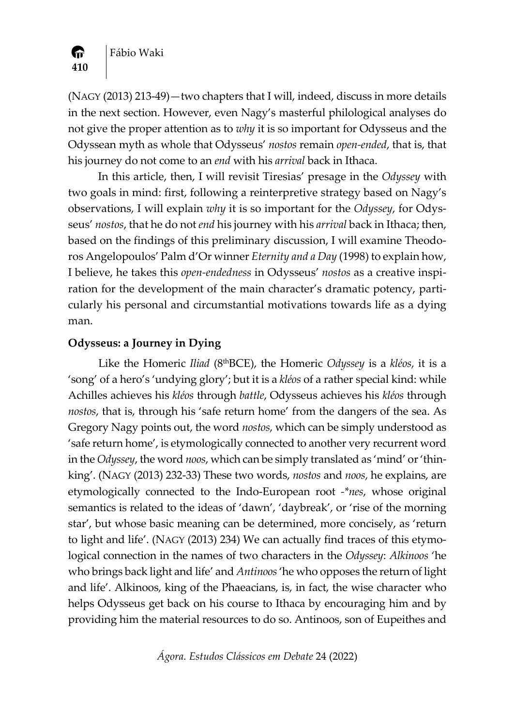

Fábio Waki

(NAGY (2013) 213‐49)—two chapters that I will, indeed, discuss in more details in the next section. However, even Nagy's masterful philological analyses do not give the proper attention as to *why* it is so important for Odysseus and the Odyssean myth as whole that Odysseus' *nostos* remain *open‐ended*, that is, that his journey do not come to an *end* with his *arrival* back in Ithaca.

In this article, then, I will revisit Tiresias' presage in the *Odyssey* with two goals in mind: first, following a reinterpretive strategy based on Nagy's observations, I will explain *why* it is so important for the *Odyssey*, for Odys‐ seus' *nostos*, that he do not *end* his journey with his *arrival* back in Ithaca; then, based on the findings of this preliminary discussion, I will examine Theodo‐ ros Angelopoulos' Palm d'Or winner *Eternity and a Day* (1998) to explain how, I believe, he takes this *open‐endedness* in Odysseus' *nostos* as a creative inspi‐ ration for the development of the main character's dramatic potency, particularly his personal and circumstantial motivations towards life as a dying man.

# **Odysseus: a Journey in Dying**

Like the Homeric *Iliad* (8thBCE), the Homeric *Odyssey* is a *kléos*, it is a 'song' of a hero's 'undying glory'; but it is a *kléos* of a rather special kind: while Achilles achieves his *kléos* through *battle*, Odysseus achieves his *kléos* through *nostos*, that is, through his 'safe return home' from the dangers of the sea. As Gregory Nagy points out, the word *nostos*, which can be simply understood as 'safe return home', is etymologically connected to another very recurrent word in the *Odyssey*, the word *noos*, which can be simply translated as 'mind' or'thin‐ king'. (NAGY (2013) 232‐33) These two words, *nostos* and *noos*, he explains, are etymologically connected to the Indo‐European root *‐\*nes*, whose original semantics is related to the ideas of 'dawn', 'daybreak', or 'rise of the morning star', but whose basic meaning can be determined, more concisely, as 'return to light and life'. (NAGY (2013) 234) We can actually find traces of this etymological connection in the names of two characters in the *Odyssey*: *Alkinoos* 'he who brings back light and life' and *Antinoos*'he who opposes the return of light and life'. Alkinoos, king of the Phaeacians, is, in fact, the wise character who helps Odysseus get back on his course to Ithaca by encouraging him and by providing him the material resources to do so. Antinoos, son of Eupeithes and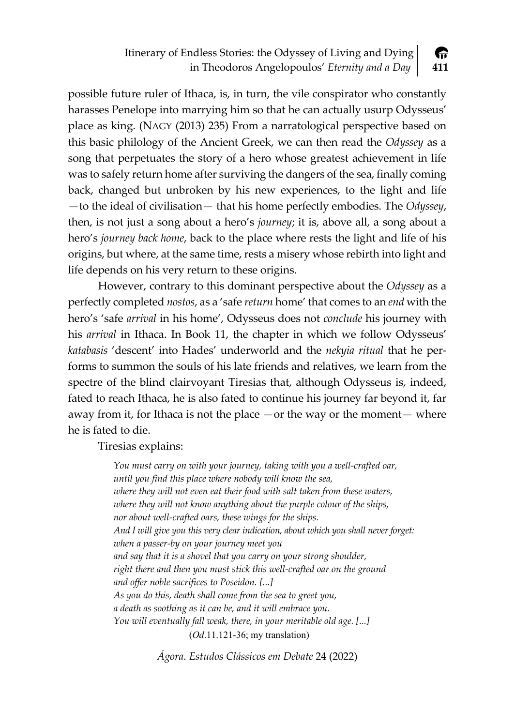Itinerary of Endless Stories: the Odyssey of Living and Dying A in Theodoros Angelopoulos' *Eternity and a Day* **411**

possible future ruler of Ithaca, is, in turn, the vile conspirator who constantly harasses Penelope into marrying him so that he can actually usurp Odysseus' place as king. (NAGY (2013) 235) From a narratological perspective based on this basic philology of the Ancient Greek, we can then read the *Odyssey* as a song that perpetuates the story of a hero whose greatest achievement in life was to safely return home after surviving the dangers of the sea, finally coming back, changed but unbroken by his new experiences, to the light and life —to the ideal of civilisation— that his home perfectly embodies. The *Odyssey*, then, is not just a song about a hero's *journey*; it is, above all, a song about a hero's *journey back home*, back to the place where rests the light and life of his origins, but where, at the same time, rests a misery whose rebirth into light and life depends on his very return to these origins.

However, contrary to this dominant perspective about the *Odyssey* as a perfectly completed *nostos*, as a 'safe *return* home' that comes to an *end* with the hero's 'safe *arrival* in his home', Odysseus does not *conclude* his journey with his *arrival* in Ithaca. In Book 11, the chapter in which we follow Odysseus' *katabasis* 'descent' into Hades' underworld and the *nekyia ritual* that he per‐ forms to summon the souls of his late friends and relatives, we learn from the spectre of the blind clairvoyant Tiresias that, although Odysseus is, indeed, fated to reach Ithaca, he is also fated to continue his journey far beyond it, far away from it, for Ithaca is not the place —or the way or the moment— where he is fated to die.

Tiresias explains:

*You must carry on with your journey, taking with you a well‐crafted oar, until you find this place where nobody will know the sea, where they will not even eat their food with salt taken from these waters, where they will not know anything about the purple colour of the ships, nor about well‐crafted oars, these wings for the ships. And I will give you this very clear indication, about which you shall never forget: when a passer‐by on your journey meet you and say that it is a shovel that you carry on your strong shoulder, right there and then you must stick this well‐crafted oar on the ground and offer noble sacrifices to Poseidon. [...] As you do this, death shall come from the sea to greet you, a death as soothing as it can be, and it will embrace you. You will eventually fall weak, there, in your meritable old age. [...]* (*Od*.11.121-36; my translation)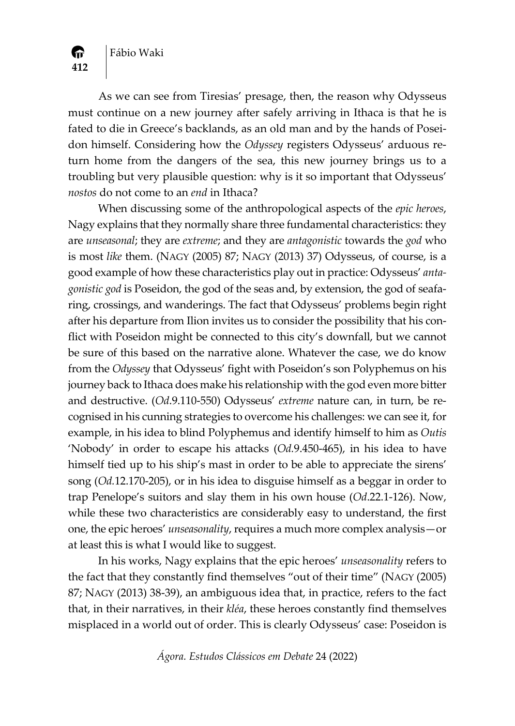

**412**

A.

As we can see from Tiresias' presage, then, the reason why Odysseus must continue on a new journey after safely arriving in Ithaca is that he is fated to die in Greece's backlands, as an old man and by the hands of Posei‐ don himself. Considering how the *Odyssey* registers Odysseus' arduous re‐ turn home from the dangers of the sea, this new journey brings us to a troubling but very plausible question: why is it so important that Odysseus' *nostos* do not come to an *end* in Ithaca?

When discussing some of the anthropological aspects of the *epic heroes*, Nagy explains that they normally share three fundamental characteristics: they are *unseasonal*; they are *extreme*; and they are *antagonistic* towards the *god* who is most *like* them. (NAGY (2005) 87; NAGY (2013) 37) Odysseus, of course, is a good example of how these characteristics play out in practice: Odysseus' *anta‐ gonistic god* is Poseidon, the god of the seas and, by extension, the god of seafa‐ ring, crossings, and wanderings. The fact that Odysseus' problems begin right after his departure from Ilion invites us to consider the possibility that his conflict with Poseidon might be connected to this city's downfall, but we cannot be sure of this based on the narrative alone. Whatever the case, we do know from the *Odyssey* that Odysseus' fight with Poseidon's son Polyphemus on his journey back to Ithaca does make his relationship with the god even more bitter and destructive. (*Od*.9.110‐550) Odysseus' *extreme* nature can, in turn, be re‐ cognised in his cunning strategies to overcome his challenges: we can see it, for example, in his idea to blind Polyphemus and identify himself to him as *Outis* 'Nobody' in order to escape his attacks (*Od.*9.450‐465), in his idea to have himself tied up to his ship's mast in order to be able to appreciate the sirens' song (*Od.*12.170‐205), or in his idea to disguise himself as a beggar in order to trap Penelope's suitors and slay them in his own house (*Od*.22.1‐126). Now, while these two characteristics are considerably easy to understand, the first one, the epic heroes' *unseasonality*, requires a much more complex analysis—or at least this is what I would like to suggest.

In his works, Nagy explains that the epic heroes' *unseasonality* refers to the fact that they constantly find themselves "out of their time" (NAGY (2005) 87; NAGY (2013) 38‐39), an ambiguous idea that, in practice, refers to the fact that, in their narratives, in their *kléa*, these heroes constantly find themselves misplaced in a world out of order. This is clearly Odysseus' case: Poseidon is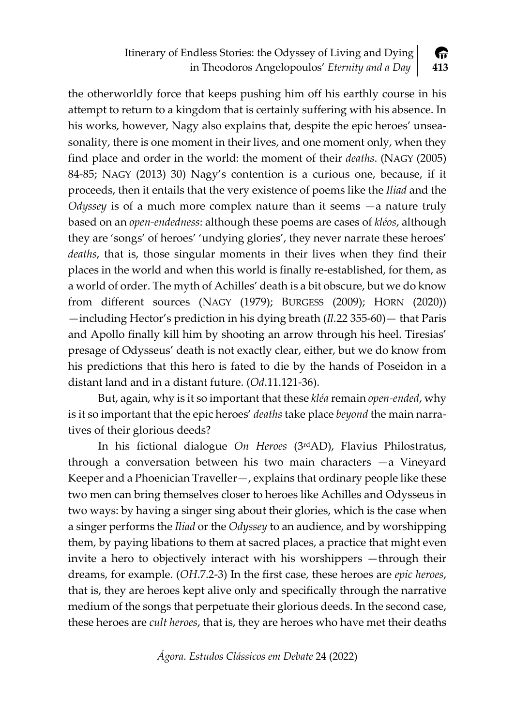Itinerary of Endless Stories: the Odyssey of Living and Dying 伶 in Theodoros Angelopoulos' *Eternity and a Day* **413**

the otherworldly force that keeps pushing him off his earthly course in his attempt to return to a kingdom that is certainly suffering with his absence. In his works, however, Nagy also explains that, despite the epic heroes' unseasonality, there is one moment in their lives, and one moment only, when they find place and order in the world: the moment of their *deaths*. (NAGY (2005) 84‐85; NAGY (2013) 30) Nagy's contention is a curious one, because, if it proceeds, then it entails that the very existence of poems like the *Iliad* and the *Odyssey* is of a much more complex nature than it seems —a nature truly based on an *open‐endedness*: although these poems are cases of *kléos*, although they are 'songs' of heroes' 'undying glories', they never narrate these heroes' *deaths*, that is, those singular moments in their lives when they find their places in the world and when this world is finally re‐established, for them, as a world of order. The myth of Achilles' death is a bit obscure, but we do know from different sources (NAGY (1979); BURGESS (2009); HORN (2020)) —including Hector's prediction in his dying breath (*Il.*22 355‐60)— that Paris and Apollo finally kill him by shooting an arrow through his heel. Tiresias' presage of Odysseus' death is not exactly clear, either, but we do know from his predictions that this hero is fated to die by the hands of Poseidon in a distant land and in a distant future. (*Od*.11.121‐36).

But, again, why is it so important that these *kléa* remain *open‐ended*, why is it so important that the epic heroes' *deaths* take place *beyond* the main narra‐ tives of their glorious deeds?

In his fictional dialogue *On Heroes* (3rdAD), Flavius Philostratus, through a conversation between his two main characters —a Vineyard Keeper and a Phoenician Traveller—, explains that ordinary people like these two men can bring themselves closer to heroes like Achilles and Odysseus in two ways: by having a singer sing about their glories, which is the case when a singer performs the *Iliad* or the *Odyssey* to an audience, and by worshipping them, by paying libations to them at sacred places, a practice that might even invite a hero to objectively interact with his worshippers —through their dreams, for example. (*OH*.7.2‐3) In the first case, these heroes are *epic heroes*, that is, they are heroes kept alive only and specifically through the narrative medium of the songs that perpetuate their glorious deeds. In the second case, these heroes are *cult heroes*, that is, they are heroes who have met their deaths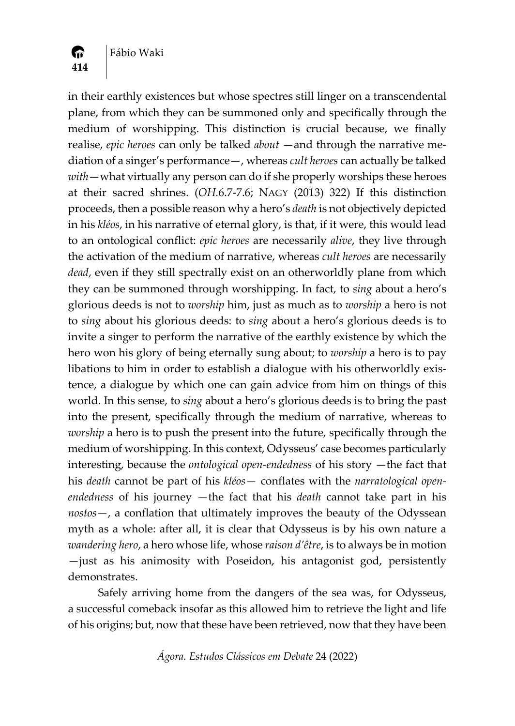

**414**

 $\bullet$ 

in their earthly existences but whose spectres still linger on a transcendental plane, from which they can be summoned only and specifically through the medium of worshipping. This distinction is crucial because, we finally realise, *epic heroes* can only be talked *about* —and through the narrative me‐ diation of a singer's performance—, whereas *cult heroes* can actually be talked *with*—what virtually any person can do if she properly worships these heroes at their sacred shrines. (*OH.*6.7‐7.6; NAGY (2013) 322) If this distinction proceeds, then a possible reason why a hero's *death* is not objectively depicted in his *kléos*, in his narrative of eternal glory, is that, if it were, this would lead to an ontological conflict: *epic heroes* are necessarily *alive*, they live through the activation of the medium of narrative, whereas *cult heroes* are necessarily *dead*, even if they still spectrally exist on an otherworldly plane from which they can be summoned through worshipping. In fact, to *sing* about a hero's glorious deeds is not to *worship* him, just as much as to *worship* a hero is not to *sing* about his glorious deeds: to *sing* about a hero's glorious deeds is to invite a singer to perform the narrative of the earthly existence by which the hero won his glory of being eternally sung about; to *worship* a hero is to pay libations to him in order to establish a dialogue with his otherworldly exis‐ tence, a dialogue by which one can gain advice from him on things of this world. In this sense, to *sing* about a hero's glorious deeds is to bring the past into the present, specifically through the medium of narrative, whereas to *worship* a hero is to push the present into the future, specifically through the medium of worshipping. In this context, Odysseus' case becomes particularly interesting, because the *ontological open‐endedness* of his story —the fact that his *death* cannot be part of his *kléos*— conflates with the *narratological open‐ endedness* of his journey —the fact that his *death* cannot take part in his *nostos*—, a conflation that ultimately improves the beauty of the Odyssean myth as a whole: after all, it is clear that Odysseus is by his own nature a *wandering hero*, a hero whose life, whose *raison d'être*, is to always be in motion —just as his animosity with Poseidon, his antagonist god, persistently demonstrates.

Safely arriving home from the dangers of the sea was, for Odysseus, a successful comeback insofar as this allowed him to retrieve the light and life of his origins; but, now that these have been retrieved, now that they have been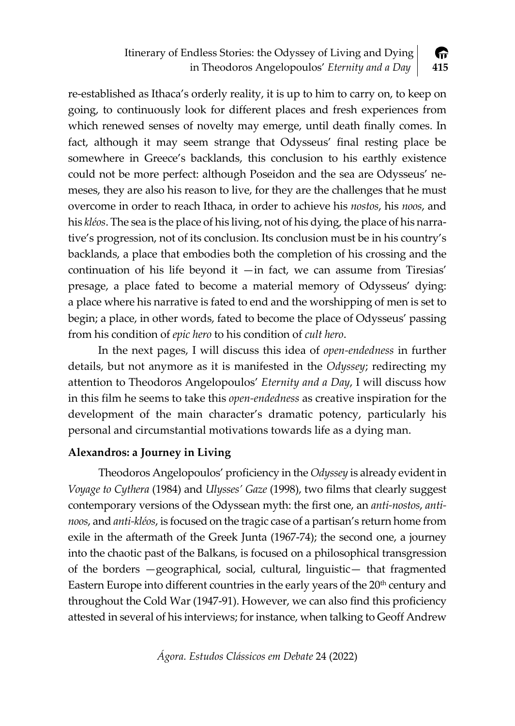Itinerary of Endless Stories: the Odyssey of Living and Dying A in Theodoros Angelopoulos' *Eternity and a Day* **415**

re‐established as Ithaca's orderly reality, it is up to him to carry on, to keep on going, to continuously look for different places and fresh experiences from which renewed senses of novelty may emerge, until death finally comes. In fact, although it may seem strange that Odysseus' final resting place be somewhere in Greece's backlands, this conclusion to his earthly existence could not be more perfect: although Poseidon and the sea are Odysseus' ne‐ meses, they are also his reason to live, for they are the challenges that he must overcome in order to reach Ithaca, in order to achieve his *nostos*, his *noos*, and his *kléos*. The sea is the place of his living, not of his dying, the place of his narra‐ tive's progression, not of its conclusion. Its conclusion must be in his country's backlands, a place that embodies both the completion of his crossing and the continuation of his life beyond it  $-\text{in}$  fact, we can assume from Tiresias' presage, a place fated to become a material memory of Odysseus' dying: a place where his narrative is fated to end and the worshipping of men is set to begin; a place, in other words, fated to become the place of Odysseus' passing from his condition of *epic hero* to his condition of *cult hero*.

In the next pages, I will discuss this idea of *open‐endedness* in further details, but not anymore as it is manifested in the *Odyssey*; redirecting my attention to Theodoros Angelopoulos' *Eternity and a Day*, I will discuss how in this film he seems to take this *open‐endedness* as creative inspiration for the development of the main character's dramatic potency, particularly his personal and circumstantial motivations towards life as a dying man.

# **Alexandros: a Journey in Living**

Theodoros Angelopoulos' proficiency in the *Odyssey* is already evident in *Voyage to Cythera* (1984) and *Ulysses' Gaze* (1998), two films that clearly suggest contemporary versions of the Odyssean myth: the first one, an *anti‐nostos*, *anti‐ noos*, and *anti‐kléos*, is focused on the tragic case of a partisan's return home from exile in the aftermath of the Greek Junta (1967-74); the second one, a journey into the chaotic past of the Balkans, is focused on a philosophical transgression of the borders —geographical, social, cultural, linguistic— that fragmented Eastern Europe into different countries in the early years of the  $20<sup>th</sup>$  century and throughout the Cold War (1947‐91). However, we can also find this proficiency attested in several of his interviews; for instance, when talking to Geoff Andrew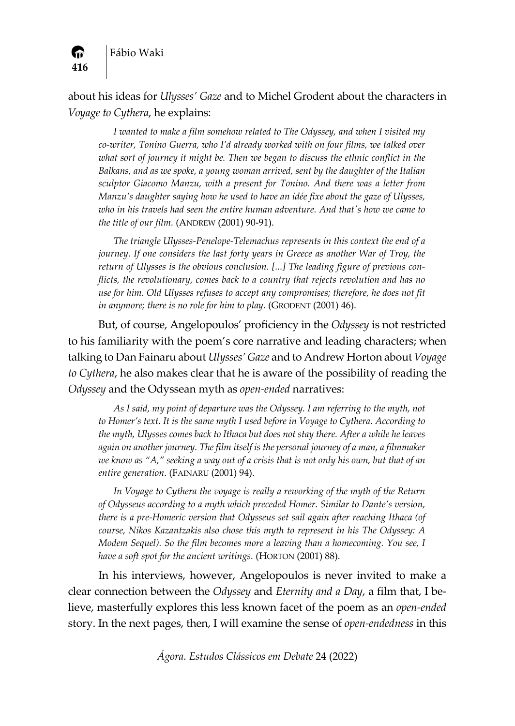

about his ideas for *Ulysses' Gaze* and to Michel Grodent about the characters in *Voyage to Cythera*, he explains:

*I wanted to make a film somehow related to The Odyssey, and when I visited my co‐writer, Tonino Guerra, who I'd already worked with on four films, we talked over what sort of journey it might be. Then we began to discuss the ethnic conflict in the Balkans, and as we spoke, a young woman arrived, sent by the daughter of the Italian sculptor Giacomo Manzu, with a present for Tonino. And there was a letter from Manzu's daughter saying how he used to have an idée fixe about the gaze of Ulysses, who in his travels had seen the entire human adventure. And thatʹs how we came to the title of our film.* (ANDREW (2001) 90‐91).

*The triangle Ulysses‐Penelope‐Telemachus represents in this context the end of a journey. If one considers the last forty years in Greece as another War of Troy, the return of Ulysses is the obvious conclusion. [...] The leading figure of previous con‐ flicts, the revolutionary, comes back to a country that rejects revolution and has no use for him. Old Ulysses refuses to accept any compromises; therefore, he does not fit in anymore; there is no role for him to play.* (GRODENT (2001) 46).

But, of course, Angelopoulos' proficiency in the *Odyssey* is not restricted to his familiarity with the poem's core narrative and leading characters; when talking to Dan Fainaru about *Ulysses' Gaze* and to Andrew Horton about *Voyage to Cythera*, he also makes clear that he is aware of the possibility of reading the *Odyssey* and the Odyssean myth as *open‐ended* narratives:

*As I said, my point of departure was the Odyssey. I am referring to the myth, not to Homer's text. It is the same myth I used before in Voyage to Cythera. According to the myth, Ulysses comes back to Ithaca but does not stay there. After a while he leaves again on another journey. The film itself is the personal journey of a man, a filmmaker* we know as "A," seeking a way out of a crisis that is not only his own, but that of an *entire generation*. (FAINARU (2001) 94).

*In Voyage to Cythera the voyage is really a reworking of the myth of the Return of Odysseus according to a myth which preceded Homer. Similar to Dante's version, there is a pre‐Homeric version that Odysseus set sail again after reaching Ithaca (of course, Nikos Kazantzakis also chose this myth to represent in his The Odyssey: A Modem Sequel). So the film becomes more a leaving than a homecoming. You see, I have a soft spot for the ancient writings.* (HORTON (2001) 88).

In his interviews, however, Angelopoulos is never invited to make a clear connection between the *Odyssey* and *Eternity and a Day*, a film that, I be‐ lieve, masterfully explores this less known facet of the poem as an *open‐ended* story. In the next pages, then, I will examine the sense of *open‐endedness* in this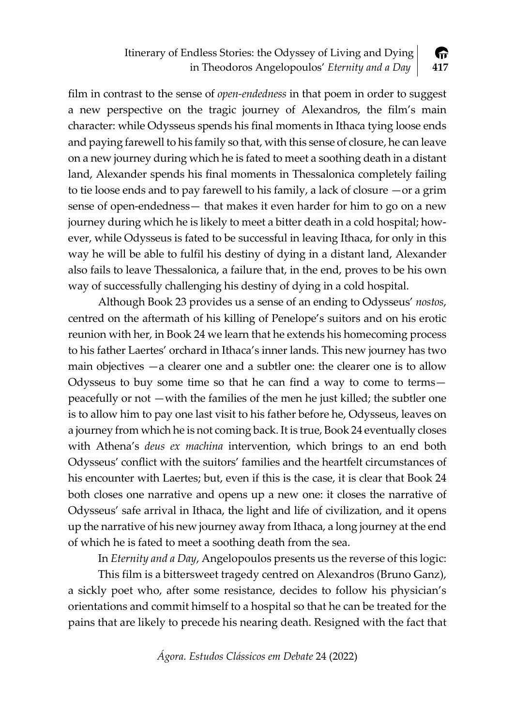#### Itinerary of Endless Stories: the Odyssey of Living and Dying A in Theodoros Angelopoulos' *Eternity and a Day* **417**

film in contrast to the sense of *open-endedness* in that poem in order to suggest a new perspective on the tragic journey of Alexandros, the film's main character: while Odysseus spends his final moments in Ithaca tying loose ends and paying farewell to his family so that, with this sense of closure, he can leave on a new journey during which he is fated to meet a soothing death in a distant land, Alexander spends his final moments in Thessalonica completely failing to tie loose ends and to pay farewell to his family, a lack of closure —or a grim sense of open-endedness— that makes it even harder for him to go on a new journey during which he is likely to meet a bitter death in a cold hospital; how‐ ever, while Odysseus is fated to be successful in leaving Ithaca, for only in this way he will be able to fulfil his destiny of dying in a distant land, Alexander also fails to leave Thessalonica, a failure that, in the end, proves to be his own way of successfully challenging his destiny of dying in a cold hospital.

Although Book 23 provides us a sense of an ending to Odysseus' *nostos*, centred on the aftermath of his killing of Penelope's suitors and on his erotic reunion with her, in Book 24 we learn that he extends his homecoming process to his father Laertes' orchard in Ithaca's inner lands. This new journey has two main objectives —a clearer one and a subtler one: the clearer one is to allow Odysseus to buy some time so that he can find a way to come to terms peacefully or not —with the families of the men he just killed; the subtler one is to allow him to pay one last visit to his father before he, Odysseus, leaves on a journey from which he is not coming back. It is true, Book 24 eventually closes with Athena's *deus ex machina* intervention, which brings to an end both Odysseus' conflict with the suitors' families and the heartfelt circumstances of his encounter with Laertes; but, even if this is the case, it is clear that Book 24 both closes one narrative and opens up a new one: it closes the narrative of Odysseus' safe arrival in Ithaca, the light and life of civilization, and it opens up the narrative of his new journey away from Ithaca, a long journey at the end of which he is fated to meet a soothing death from the sea.

In *Eternity and a Day*, Angelopoulos presents us the reverse of this logic:

This film is a bittersweet tragedy centred on Alexandros (Bruno Ganz), a sickly poet who, after some resistance, decides to follow his physician's orientations and commit himself to a hospital so that he can be treated for the pains that are likely to precede his nearing death. Resigned with the fact that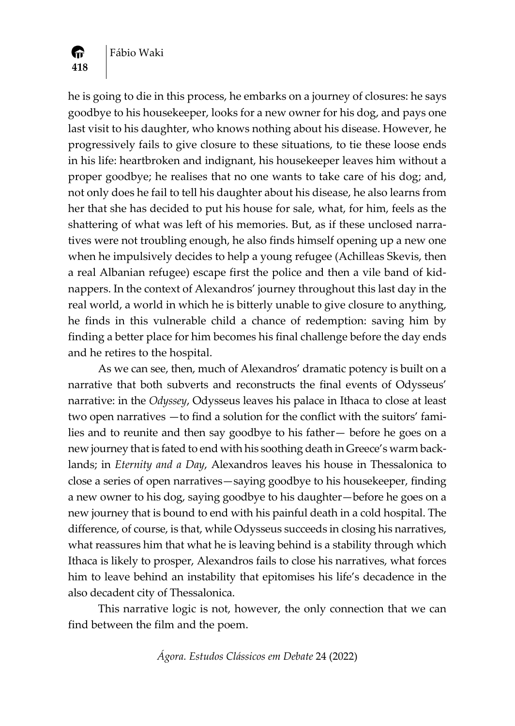

**418**

A.

he is going to die in this process, he embarks on a journey of closures: he says goodbye to his housekeeper, looks for a new owner for his dog, and pays one last visit to his daughter, who knows nothing about his disease. However, he progressively fails to give closure to these situations, to tie these loose ends in his life: heartbroken and indignant, his housekeeper leaves him without a proper goodbye; he realises that no one wants to take care of his dog; and, not only does he fail to tell his daughter about his disease, he also learns from her that she has decided to put his house for sale, what, for him, feels as the shattering of what was left of his memories. But, as if these unclosed narratives were not troubling enough, he also finds himself opening up a new one when he impulsively decides to help a young refugee (Achilleas Skevis, then a real Albanian refugee) escape first the police and then a vile band of kid‐ nappers. In the context of Alexandros' journey throughout this last day in the real world, a world in which he is bitterly unable to give closure to anything, he finds in this vulnerable child a chance of redemption: saving him by finding a better place for him becomes his final challenge before the day ends and he retires to the hospital.

As we can see, then, much of Alexandros' dramatic potency is built on a narrative that both subverts and reconstructs the final events of Odysseus' narrative: in the *Odyssey*, Odysseus leaves his palace in Ithaca to close at least two open narratives —to find a solution for the conflict with the suitors' families and to reunite and then say goodbye to his father— before he goes on a new journey that is fated to end with his soothing death in Greece's warm back‐ lands; in *Eternity and a Day*, Alexandros leaves his house in Thessalonica to close a series of open narratives—saying goodbye to his housekeeper, finding a new owner to his dog, saying goodbye to his daughter—before he goes on a new journey that is bound to end with his painful death in a cold hospital. The difference, of course, is that, while Odysseus succeeds in closing his narratives, what reassures him that what he is leaving behind is a stability through which Ithaca is likely to prosper, Alexandros fails to close his narratives, what forces him to leave behind an instability that epitomises his life's decadence in the also decadent city of Thessalonica.

This narrative logic is not, however, the only connection that we can find between the film and the poem.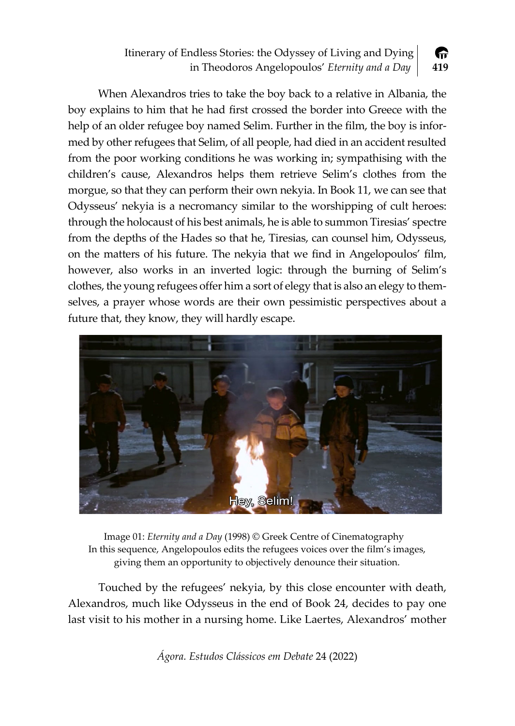#### Itinerary of Endless Stories: the Odyssey of Living and Dying 伶 in Theodoros Angelopoulos' *Eternity and a Day* **419**

When Alexandros tries to take the boy back to a relative in Albania, the boy explains to him that he had first crossed the border into Greece with the help of an older refugee boy named Selim. Further in the film, the boy is informed by other refugees that Selim, of all people, had died in an accident resulted from the poor working conditions he was working in; sympathising with the children's cause, Alexandros helps them retrieve Selim's clothes from the morgue, so that they can perform their own nekyia. In Book 11, we can see that Odysseus' nekyia is a necromancy similar to the worshipping of cult heroes: through the holocaust of his best animals, he is able to summon Tiresias' spectre from the depths of the Hades so that he, Tiresias, can counsel him, Odysseus, on the matters of his future. The nekyia that we find in Angelopoulos' film, however, also works in an inverted logic: through the burning of Selim's clothes, the young refugees offer him a sort of elegy that is also an elegy to them‐ selves, a prayer whose words are their own pessimistic perspectives about a future that, they know, they will hardly escape.



Image 01: *Eternity and a Day* (1998) © Greek Centre of Cinematography In this sequence, Angelopoulos edits the refugees voices over the film's images, giving them an opportunity to objectively denounce their situation.

Touched by the refugees' nekyia, by this close encounter with death, Alexandros, much like Odysseus in the end of Book 24, decides to pay one last visit to his mother in a nursing home. Like Laertes, Alexandros' mother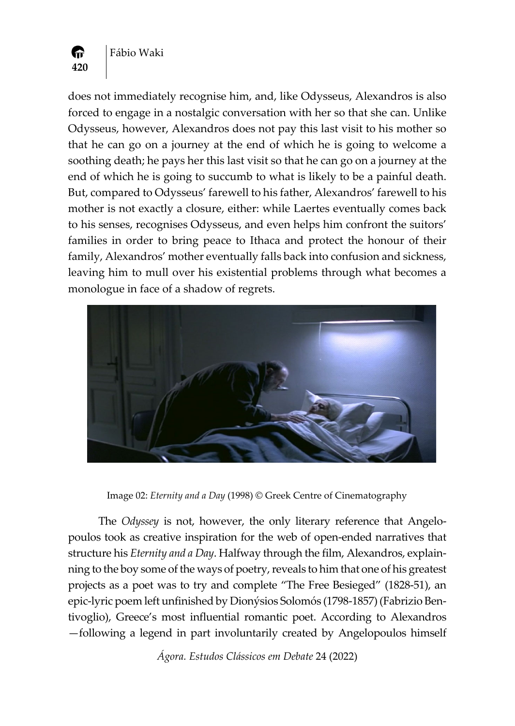

does not immediately recognise him, and, like Odysseus, Alexandros is also forced to engage in a nostalgic conversation with her so that she can. Unlike Odysseus, however, Alexandros does not pay this last visit to his mother so that he can go on a journey at the end of which he is going to welcome a soothing death; he pays her this last visit so that he can go on a journey at the end of which he is going to succumb to what is likely to be a painful death. But, compared to Odysseus' farewell to his father, Alexandros' farewell to his mother is not exactly a closure, either: while Laertes eventually comes back to his senses, recognises Odysseus, and even helps him confront the suitors' families in order to bring peace to Ithaca and protect the honour of their family, Alexandros' mother eventually falls back into confusion and sickness, leaving him to mull over his existential problems through what becomes a monologue in face of a shadow of regrets.



Image 02: *Eternity and a Day* (1998) © Greek Centre of Cinematography

The *Odyssey* is not, however, the only literary reference that Angelo‐ poulos took as creative inspiration for the web of open‐ended narratives that structure his *Eternity and a Day*. Halfway through the film, Alexandros, explain‐ ning to the boy some of the ways of poetry, reveals to him that one of his greatest projects as a poet was to try and complete "The Free Besieged" (1828‐51), an epic‐lyric poem left unfinished by Dionýsios Solomós (1798‐1857) (Fabrizio Ben‐ tivoglio), Greece's most influential romantic poet. According to Alexandros —following a legend in part involuntarily created by Angelopoulos himself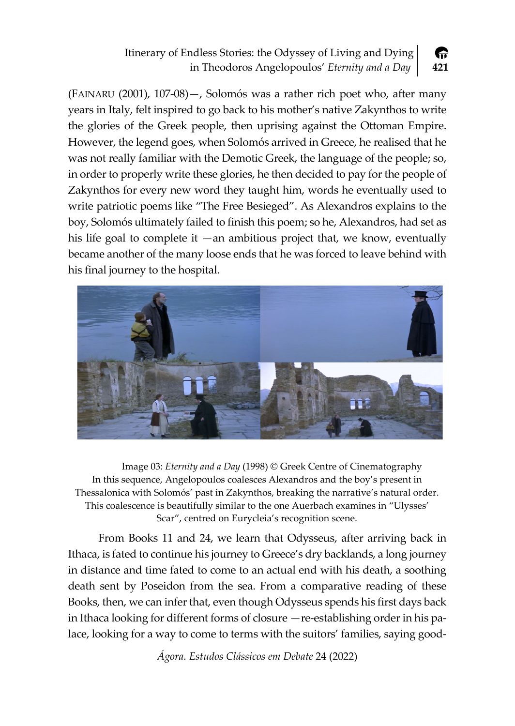#### Itinerary of Endless Stories: the Odyssey of Living and Dying 伶 in Theodoros Angelopoulos' *Eternity and a Day* **421**

(FAINARU (2001), 107‐08)—, Solomós was a rather rich poet who, after many years in Italy, felt inspired to go back to his mother's native Zakynthos to write the glories of the Greek people, then uprising against the Ottoman Empire. However, the legend goes, when Solomós arrived in Greece, he realised that he was not really familiar with the Demotic Greek, the language of the people; so, in order to properly write these glories, he then decided to pay for the people of Zakynthos for every new word they taught him, words he eventually used to write patriotic poems like "The Free Besieged". As Alexandros explains to the boy, Solomós ultimately failed to finish this poem; so he, Alexandros, had set as his life goal to complete it  $-$ an ambitious project that, we know, eventually became another of the many loose ends that he was forced to leave behind with his final journey to the hospital.



Image 03: *Eternity and a Day* (1998) © Greek Centre of Cinematography In this sequence, Angelopoulos coalesces Alexandros and the boy's present in Thessalonica with Solomós' past in Zakynthos, breaking the narrative's natural order. This coalescence is beautifully similar to the one Auerbach examines in "Ulysses' Scar", centred on Eurycleia's recognition scene.

From Books 11 and 24, we learn that Odysseus, after arriving back in Ithaca, is fated to continue his journey to Greece's dry backlands, a long journey in distance and time fated to come to an actual end with his death, a soothing death sent by Poseidon from the sea. From a comparative reading of these Books, then, we can infer that, even though Odysseus spends his first days back in Ithaca looking for different forms of closure —re‐establishing order in his pa‐ lace, looking for a way to come to terms with the suitors' families, saying good-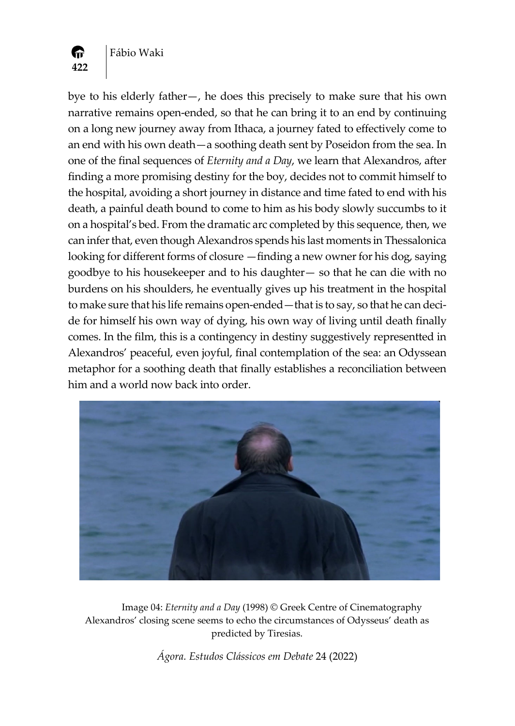

Fábio Waki

bye to his elderly father—, he does this precisely to make sure that his own narrative remains open-ended, so that he can bring it to an end by continuing on a long new journey away from Ithaca, a journey fated to effectively come to an end with his own death—a soothing death sent by Poseidon from the sea. In one of the final sequences of *Eternity and a Day*, we learn that Alexandros, after finding a more promising destiny for the boy, decides not to commit himself to the hospital, avoiding a short journey in distance and time fated to end with his death, a painful death bound to come to him as his body slowly succumbs to it on a hospital's bed. From the dramatic arc completed by this sequence, then, we can infer that, even though Alexandros spends his last moments in Thessalonica looking for different forms of closure —finding a new owner for his dog, saying goodbye to his housekeeper and to his daughter— so that he can die with no burdens on his shoulders, he eventually gives up his treatment in the hospital to make sure that his life remains open-ended—that is to say, so that he can decide for himself his own way of dying, his own way of living until death finally comes. In the film, this is a contingency in destiny suggestively representted in Alexandros' peaceful, even joyful, final contemplation of the sea: an Odyssean metaphor for a soothing death that finally establishes a reconciliation between him and a world now back into order.



Image 04: *Eternity and a Day* (1998) © Greek Centre of Cinematography Alexandros' closing scene seems to echo the circumstances of Odysseus' death as predicted by Tiresias.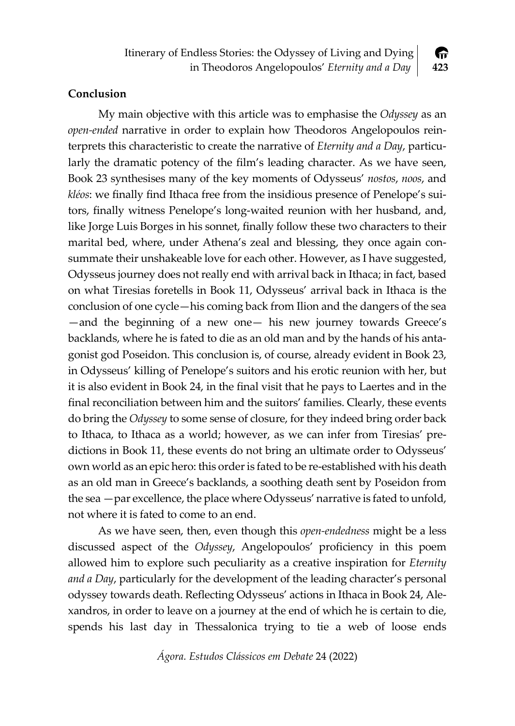

### **Conclusion**

My main objective with this article was to emphasise the *Odyssey* as an *open‐ended* narrative in order to explain how Theodoros Angelopoulos rein‐ terprets this characteristic to create the narrative of *Eternity and a Day*, particu‐ larly the dramatic potency of the film's leading character. As we have seen, Book 23 synthesises many of the key moments of Odysseus' *nostos*, *noos*, and *kléos*: we finally find Ithaca free from the insidious presence of Penelope's sui‐ tors, finally witness Penelope's long‐waited reunion with her husband, and, like Jorge Luis Borges in his sonnet, finally follow these two characters to their marital bed, where, under Athena's zeal and blessing, they once again consummate their unshakeable love for each other. However, as I have suggested, Odysseus journey does not really end with arrival back in Ithaca; in fact, based on what Tiresias foretells in Book 11, Odysseus' arrival back in Ithaca is the conclusion of one cycle—his coming back from Ilion and the dangers of the sea —and the beginning of a new one— his new journey towards Greece's backlands, where he is fated to die as an old man and by the hands of his anta‐ gonist god Poseidon. This conclusion is, of course, already evident in Book 23, in Odysseus' killing of Penelope's suitors and his erotic reunion with her, but it is also evident in Book 24, in the final visit that he pays to Laertes and in the final reconciliation between him and the suitors' families. Clearly, these events do bring the *Odyssey* to some sense of closure, for they indeed bring order back to Ithaca, to Ithaca as a world; however, as we can infer from Tiresias' pre‐ dictions in Book 11, these events do not bring an ultimate order to Odysseus' own world as an epic hero: this order is fated to be re-established with his death as an old man in Greece's backlands, a soothing death sent by Poseidon from the sea —par excellence, the place where Odysseus' narrative is fated to unfold, not where it is fated to come to an end.

As we have seen, then, even though this *open‐endedness* might be a less discussed aspect of the *Odyssey*, Angelopoulos' proficiency in this poem allowed him to explore such peculiarity as a creative inspiration for *Eternity and a Day*, particularly for the development of the leading character's personal odyssey towards death. Reflecting Odysseus' actions in Ithaca in Book 24, Ale‐ xandros, in order to leave on a journey at the end of which he is certain to die, spends his last day in Thessalonica trying to tie a web of loose ends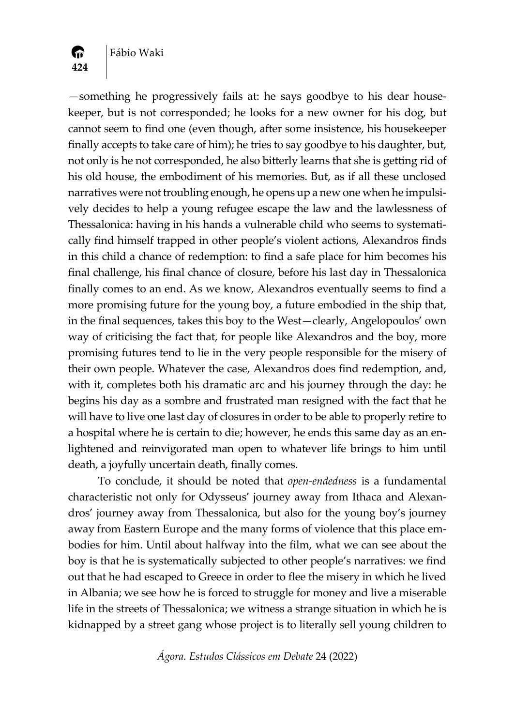

—something he progressively fails at: he says goodbye to his dear house‐ keeper, but is not corresponded; he looks for a new owner for his dog, but cannot seem to find one (even though, after some insistence, his housekeeper finally accepts to take care of him); he tries to say goodbye to his daughter, but, not only is he not corresponded, he also bitterly learns that she is getting rid of his old house, the embodiment of his memories. But, as if all these unclosed narratives were not troubling enough, he opens up a new one when he impulsively decides to help a young refugee escape the law and the lawlessness of Thessalonica: having in his hands a vulnerable child who seems to systemati‐ cally find himself trapped in other people's violent actions, Alexandros finds in this child a chance of redemption: to find a safe place for him becomes his final challenge, his final chance of closure, before his last day in Thessalonica finally comes to an end. As we know, Alexandros eventually seems to find a more promising future for the young boy, a future embodied in the ship that, in the final sequences, takes this boy to the West—clearly, Angelopoulos' own way of criticising the fact that, for people like Alexandros and the boy, more promising futures tend to lie in the very people responsible for the misery of their own people. Whatever the case, Alexandros does find redemption, and, with it, completes both his dramatic arc and his journey through the day: he begins his day as a sombre and frustrated man resigned with the fact that he will have to live one last day of closures in order to be able to properly retire to a hospital where he is certain to die; however, he ends this same day as an enlightened and reinvigorated man open to whatever life brings to him until death, a joyfully uncertain death, finally comes.

To conclude, it should be noted that *open‐endedness* is a fundamental characteristic not only for Odysseus' journey away from Ithaca and Alexan‐ dros' journey away from Thessalonica, but also for the young boy's journey away from Eastern Europe and the many forms of violence that this place em‐ bodies for him. Until about halfway into the film, what we can see about the boy is that he is systematically subjected to other people's narratives: we find out that he had escaped to Greece in order to flee the misery in which he lived in Albania; we see how he is forced to struggle for money and live a miserable life in the streets of Thessalonica; we witness a strange situation in which he is kidnapped by a street gang whose project is to literally sell young children to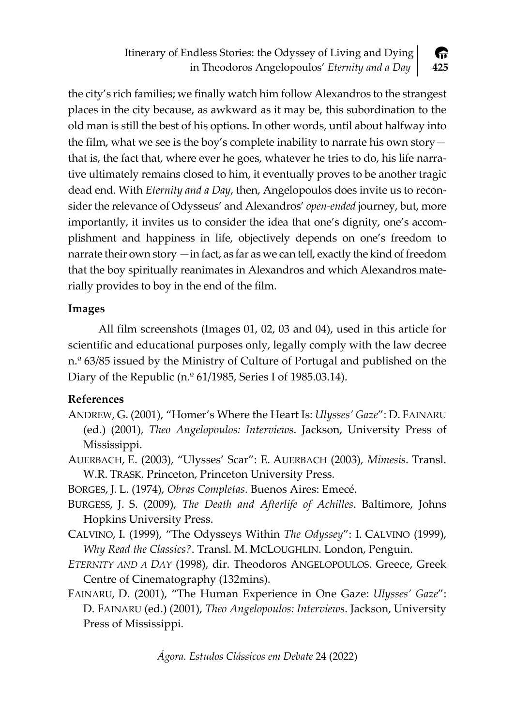Itinerary of Endless Stories: the Odyssey of Living and Dying in Theodoros Angelopoulos' *Eternity and a Day* **425**

伶

the city's rich families; we finally watch him follow Alexandros to the strangest places in the city because, as awkward as it may be, this subordination to the old man is still the best of his options. In other words, until about halfway into the film, what we see is the boy's complete inability to narrate his own story that is, the fact that, where ever he goes, whatever he tries to do, his life narra‐ tive ultimately remains closed to him, it eventually proves to be another tragic dead end. With *Eternity and a Day*, then, Angelopoulos does invite us to recon‐ sider the relevance of Odysseus' and Alexandros' *open‐ended* journey, but, more importantly, it invites us to consider the idea that one's dignity, one's accom‐ plishment and happiness in life, objectively depends on one's freedom to narrate their own story —in fact, as far as we can tell, exactly the kind of freedom that the boy spiritually reanimates in Alexandros and which Alexandros mate‐ rially provides to boy in the end of the film.

# **Images**

All film screenshots (Images 01, 02, 03 and 04), used in this article for scientific and educational purposes only, legally comply with the law decree n.º 63/85 issued by the Ministry of Culture of Portugal and published on the Diary of the Republic (n. $\degree$  61/1985, Series I of 1985.03.14).

# **References**

- ANDREW, G. (2001), "Homer's Where the Heart Is: *Ulysses' Gaze*": D. FAINARU (ed.) (2001), *Theo Angelopoulos: Interviews*. Jackson, University Press of Mississippi.
- AUERBACH, E. (2003), "Ulysses' Scar": E. AUERBACH (2003), *Mimesis*. Transl. W.R. TRASK. Princeton, Princeton University Press.
- BORGES, J. L. (1974), *Obras Completas*. Buenos Aires: Emecé.
- BURGESS, J. S. (2009), *The Death and Afterlife of Achilles*. Baltimore, Johns Hopkins University Press.
- CALVINO, I. (1999), "The Odysseys Within *The Odyssey*": I. CALVINO (1999), *Why Read the Classics?*. Transl. M. MCLOUGHLIN. London, Penguin.
- *ETERNITY AND A DAY* (1998), dir. Theodoros ANGELOPOULOS. Greece, Greek Centre of Cinematography (132mins).
- FAINARU, D. (2001), "The Human Experience in One Gaze: *Ulysses' Gaze*": D. FAINARU (ed.) (2001), *Theo Angelopoulos: Interviews*. Jackson, University Press of Mississippi.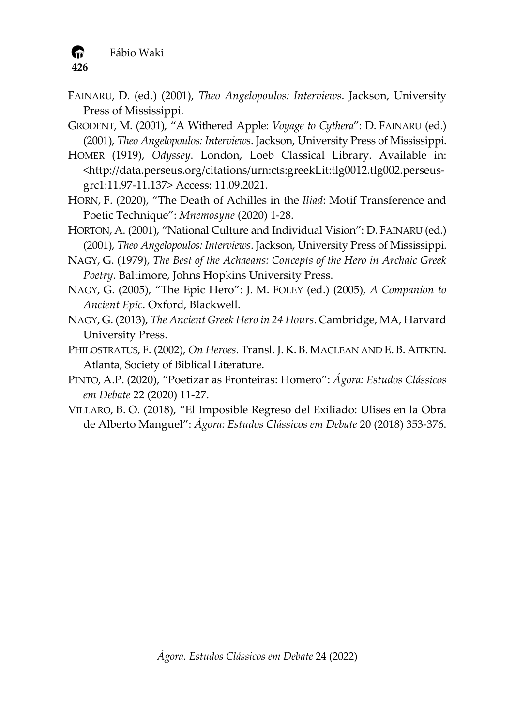- FAINARU, D. (ed.) (2001), *Theo Angelopoulos: Interviews*. Jackson, University Press of Mississippi.
- GRODENT, M. (2001), "A Withered Apple: *Voyage to Cythera*": D. FAINARU (ed.) (2001), *Theo Angelopoulos: Interviews*. Jackson, University Press of Mississippi.
- HOMER (1919), *Odyssey*. London, Loeb Classical Library. Available in: <http://data.perseus.org/citations/urn:cts:greekLit:tlg0012.tlg002.perseus‐ grc1:11.97‐11.137> Access: 11.09.2021.
- HORN, F. (2020), "The Death of Achilles in the *Iliad*: Motif Transference and Poetic Technique": *Mnemosyne* (2020) 1‐28.
- HORTON, A. (2001), "National Culture and Individual Vision": D. FAINARU (ed.) (2001), *Theo Angelopoulos: Interviews*. Jackson, University Press of Mississippi.
- NAGY, G. (1979), *The Best of the Achaeans: Concepts of the Hero in Archaic Greek Poetry*. Baltimore, Johns Hopkins University Press.
- NAGY, G. (2005), "The Epic Hero": J. M. FOLEY (ed.) (2005), *A Companion to Ancient Epic*. Oxford, Blackwell.
- NAGY, G. (2013), *The Ancient Greek Hero in 24 Hours*. Cambridge, MA, Harvard University Press.
- PHILOSTRATUS, F. (2002), *On Heroes*. Transl. J. K. B. MACLEAN AND E. B. AITKEN. Atlanta, Society of Biblical Literature.
- PINTO, A.P. (2020), "Poetizar as Fronteiras: Homero": *Ágora: Estudos Clássicos em Debate* 22 (2020) 11‐27.
- VILLARO, B. O. (2018), "El Imposible Regreso del Exiliado: Ulises en la Obra de Alberto Manguel": *Ágora: Estudos Clássicos em Debate* 20 (2018) 353‐376.